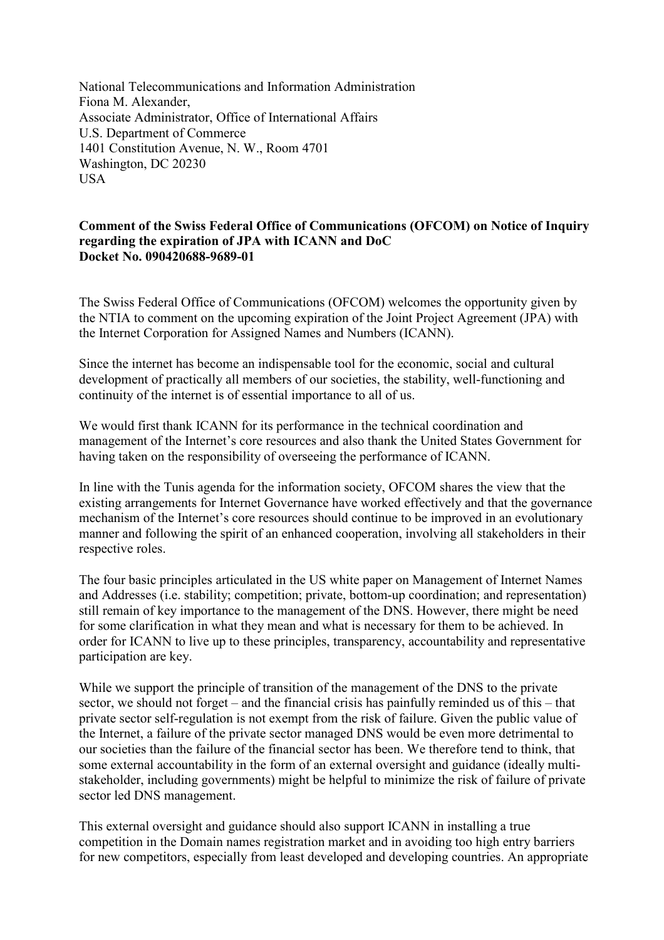National Telecommunications and Information Administration Fiona M. Alexander, Associate Administrator, Office of International Affairs U.S. Department of Commerce 1401 Constitution Avenue, N. W., Room 4701 Washington, DC 20230 **USA** 

## **Comment of the Swiss Federal Office of Communications (OFCOM) on Notice of Inquiry regarding the expiration of JPA with ICANN and DoC Docket No. 090420688-9689-01**

The Swiss Federal Office of Communications (OFCOM) welcomes the opportunity given by the NTIA to comment on the upcoming expiration of the Joint Project Agreement (JPA) with the Internet Corporation for Assigned Names and Numbers (ICANN).

Since the internet has become an indispensable tool for the economic, social and cultural development of practically all members of our societies, the stability, well-functioning and continuity of the internet is of essential importance to all of us.

We would first thank ICANN for its performance in the technical coordination and management of the Internet's core resources and also thank the United States Government for having taken on the responsibility of overseeing the performance of ICANN.

In line with the Tunis agenda for the information society, OFCOM shares the view that the existing arrangements for Internet Governance have worked effectively and that the governance mechanism of the Internet's core resources should continue to be improved in an evolutionary manner and following the spirit of an enhanced cooperation, involving all stakeholders in their respective roles.

The four basic principles articulated in the US white paper on Management of Internet Names and Addresses (i.e. stability; competition; private, bottom-up coordination; and representation) still remain of key importance to the management of the DNS. However, there might be need for some clarification in what they mean and what is necessary for them to be achieved. In order for ICANN to live up to these principles, transparency, accountability and representative participation are key.

While we support the principle of transition of the management of the DNS to the private sector, we should not forget – and the financial crisis has painfully reminded us of this – that private sector self-regulation is not exempt from the risk of failure. Given the public value of the Internet, a failure of the private sector managed DNS would be even more detrimental to our societies than the failure of the financial sector has been. We therefore tend to think, that some external accountability in the form of an external oversight and guidance (ideally multistakeholder, including governments) might be helpful to minimize the risk of failure of private sector led DNS management.

This external oversight and guidance should also support ICANN in installing a true competition in the Domain names registration market and in avoiding too high entry barriers for new competitors, especially from least developed and developing countries. An appropriate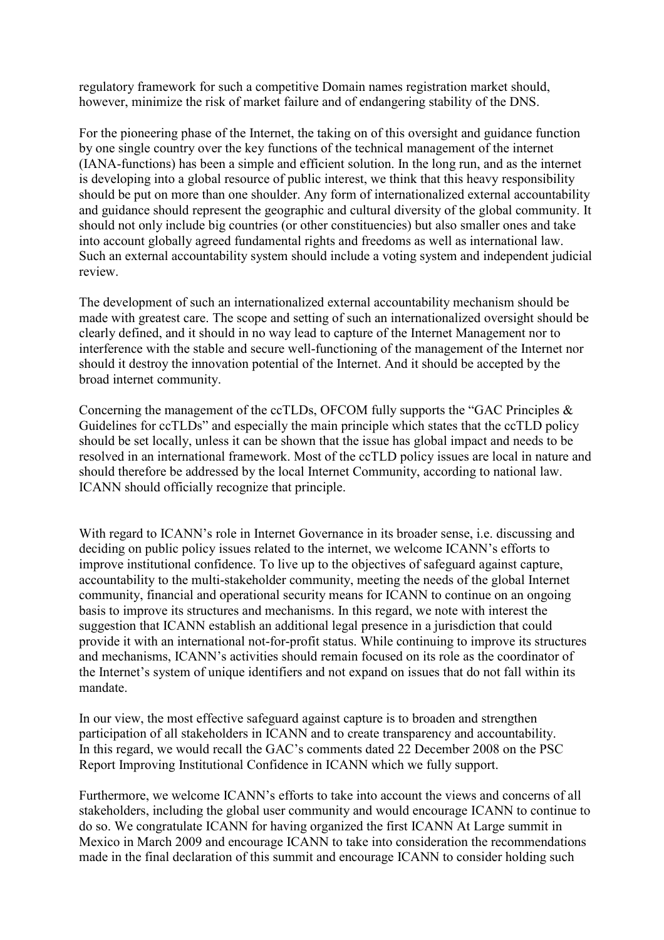regulatory framework for such a competitive Domain names registration market should, however, minimize the risk of market failure and of endangering stability of the DNS.

For the pioneering phase of the Internet, the taking on of this oversight and guidance function by one single country over the key functions of the technical management of the internet (IANA-functions) has been a simple and efficient solution. In the long run, and as the internet is developing into a global resource of public interest, we think that this heavy responsibility should be put on more than one shoulder. Any form of internationalized external accountability and guidance should represent the geographic and cultural diversity of the global community. It should not only include big countries (or other constituencies) but also smaller ones and take into account globally agreed fundamental rights and freedoms as well as international law. Such an external accountability system should include a voting system and independent judicial review.

The development of such an internationalized external accountability mechanism should be made with greatest care. The scope and setting of such an internationalized oversight should be clearly defined, and it should in no way lead to capture of the Internet Management nor to interference with the stable and secure well-functioning of the management of the Internet nor should it destroy the innovation potential of the Internet. And it should be accepted by the broad internet community.

Concerning the management of the ccTLDs, OFCOM fully supports the "GAC Principles & Guidelines for ccTLDs" and especially the main principle which states that the ccTLD policy should be set locally, unless it can be shown that the issue has global impact and needs to be resolved in an international framework. Most of the ccTLD policy issues are local in nature and should therefore be addressed by the local Internet Community, according to national law. ICANN should officially recognize that principle.

With regard to ICANN's role in Internet Governance in its broader sense, i.e. discussing and deciding on public policy issues related to the internet, we welcome ICANN's efforts to improve institutional confidence. To live up to the objectives of safeguard against capture, accountability to the multi-stakeholder community, meeting the needs of the global Internet community, financial and operational security means for ICANN to continue on an ongoing basis to improve its structures and mechanisms. In this regard, we note with interest the suggestion that ICANN establish an additional legal presence in a jurisdiction that could provide it with an international not-for-profit status. While continuing to improve its structures and mechanisms, ICANN's activities should remain focused on its role as the coordinator of the Internet's system of unique identifiers and not expand on issues that do not fall within its mandate.

In our view, the most effective safeguard against capture is to broaden and strengthen participation of all stakeholders in ICANN and to create transparency and accountability. In this regard, we would recall the GAC's comments dated 22 December 2008 on the PSC Report Improving Institutional Confidence in ICANN which we fully support.

Furthermore, we welcome ICANN's efforts to take into account the views and concerns of all stakeholders, including the global user community and would encourage ICANN to continue to do so. We congratulate ICANN for having organized the first ICANN At Large summit in Mexico in March 2009 and encourage ICANN to take into consideration the recommendations made in the final declaration of this summit and encourage ICANN to consider holding such